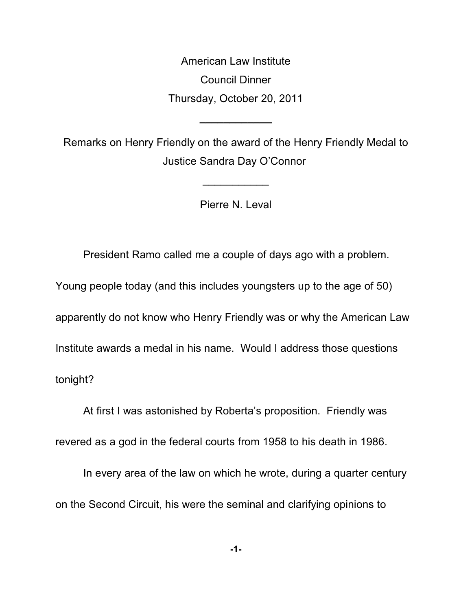American Law Institute Council Dinner Thursday, October 20, 2011

Remarks on Henry Friendly on the award of the Henry Friendly Medal to Justice Sandra Day O'Connor

**\_\_\_\_\_\_\_\_\_\_\_\_**

Pierre N. Leval

 $\overline{\phantom{a}}$ 

President Ramo called me a couple of days ago with a problem.

Young people today (and this includes youngsters up to the age of 50)

apparently do not know who Henry Friendly was or why the American Law

Institute awards a medal in his name. Would I address those questions

tonight?

At first I was astonished by Roberta's proposition. Friendly was

revered as a god in the federal courts from 1958 to his death in 1986.

In every area of the law on which he wrote, during a quarter century on the Second Circuit, his were the seminal and clarifying opinions to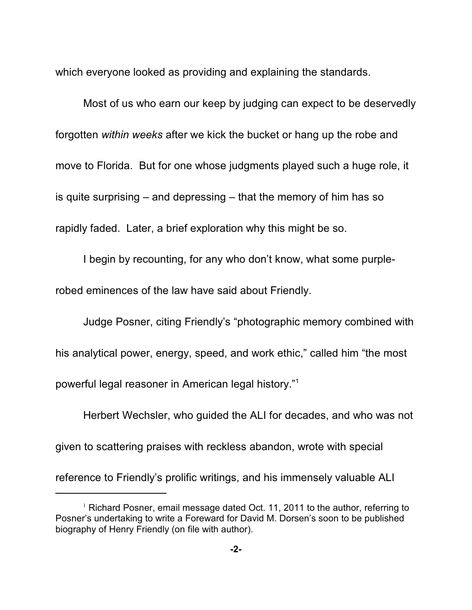which everyone looked as providing and explaining the standards.

Most of us who earn our keep by judging can expect to be deservedly forgotten *within weeks* after we kick the bucket or hang up the robe and move to Florida. But for one whose judgments played such a huge role, it is quite surprising – and depressing – that the memory of him has so rapidly faded. Later, a brief exploration why this might be so.

I begin by recounting, for any who don't know, what some purplerobed eminences of the law have said about Friendly.

Judge Posner, citing Friendly's "photographic memory combined with his analytical power, energy, speed, and work ethic," called him "the most powerful legal reasoner in American legal history."<sup>1</sup>

Herbert Wechsler, who guided the ALI for decades, and who was not given to scattering praises with reckless abandon, wrote with special

reference to Friendly's prolific writings, and his immensely valuable ALI

 $1$  Richard Posner, email message dated Oct. 11, 2011 to the author, referring to Posner's undertaking to write a Foreward for David M. Dorsen's soon to be published biography of Henry Friendly (on file with author).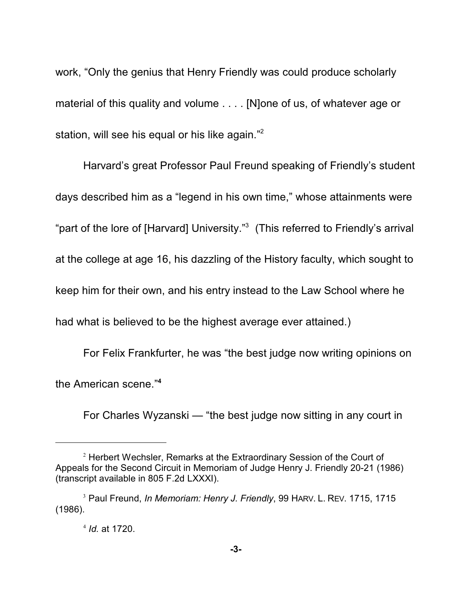work, "Only the genius that Henry Friendly was could produce scholarly material of this quality and volume . . . . [N]one of us, of whatever age or station, will see his equal or his like again."<sup>2</sup>

Harvard's great Professor Paul Freund speaking of Friendly's student days described him as a "legend in his own time," whose attainments were "part of the lore of [Harvard] University."<sup>3</sup> (This referred to Friendly's arrival at the college at age 16, his dazzling of the History faculty, which sought to keep him for their own, and his entry instead to the Law School where he had what is believed to be the highest average ever attained.)

For Felix Frankfurter, he was "the best judge now writing opinions on the American scene."**<sup>4</sup>**

For Charles Wyzanski — "the best judge now sitting in any court in

 $2$  Herbert Wechsler, Remarks at the Extraordinary Session of the Court of Appeals for the Second Circuit in Memoriam of Judge Henry J. Friendly 20-21 (1986) (transcript available in 805 F.2d LXXXI).

<sup>&</sup>lt;sup>3</sup> Paul Freund, *In Memoriam: Henry J. Friendly*, 99 HARV. L. REV. 1715, 1715 (1986).

 $^{4}$  *Id.* at 1720.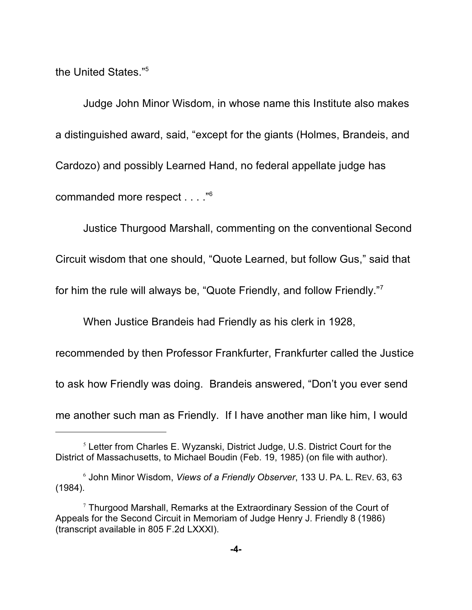the United States."<sup>5</sup>

Judge John Minor Wisdom, in whose name this Institute also makes a distinguished award, said, "except for the giants (Holmes, Brandeis, and Cardozo) and possibly Learned Hand, no federal appellate judge has commanded more respect . . . ."<sup>6</sup>

Justice Thurgood Marshall, commenting on the conventional Second

Circuit wisdom that one should, "Quote Learned, but follow Gus," said that

for him the rule will always be, "Quote Friendly, and follow Friendly."<sup>7</sup>

When Justice Brandeis had Friendly as his clerk in 1928,

recommended by then Professor Frankfurter, Frankfurter called the Justice to ask how Friendly was doing. Brandeis answered, "Don't you ever send me another such man as Friendly. If I have another man like him, I would

 $5$  Letter from Charles E. Wyzanski, District Judge, U.S. District Court for the District of Massachusetts, to Michael Boudin (Feb. 19, 1985) (on file with author).

John Minor Wisdom, *Views of a Friendly Observer*, 133 U. PA. L. REV. 63, 63 <sup>6</sup> (1984).

 $7$  Thurgood Marshall, Remarks at the Extraordinary Session of the Court of Appeals for the Second Circuit in Memoriam of Judge Henry J. Friendly 8 (1986) (transcript available in 805 F.2d LXXXI).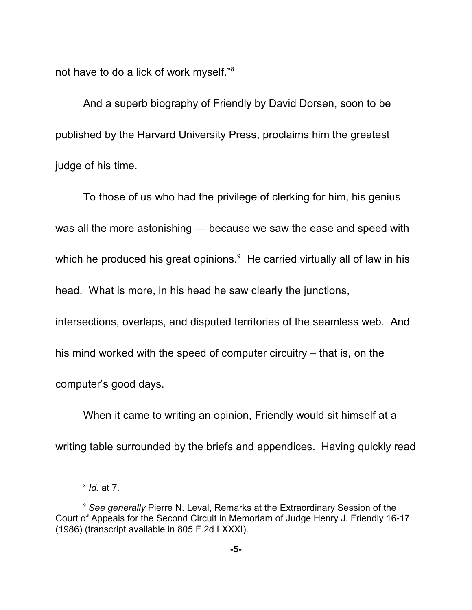not have to do a lick of work myself."<sup>8</sup>

And a superb biography of Friendly by David Dorsen, soon to be published by the Harvard University Press, proclaims him the greatest judge of his time.

To those of us who had the privilege of clerking for him, his genius was all the more astonishing — because we saw the ease and speed with which he produced his great opinions.<sup>9</sup> He carried virtually all of law in his head. What is more, in his head he saw clearly the junctions, intersections, overlaps, and disputed territories of the seamless web. And his mind worked with the speed of computer circuitry – that is, on the computer's good days.

When it came to writing an opinion, Friendly would sit himself at a writing table surrounded by the briefs and appendices. Having quickly read

<sup>&</sup>lt;sup>8</sup> *Id.* at 7.

<sup>&</sup>lt;sup>9</sup> See generally Pierre N. Leval, Remarks at the Extraordinary Session of the Court of Appeals for the Second Circuit in Memoriam of Judge Henry J. Friendly 16-17 (1986) (transcript available in 805 F.2d LXXXI).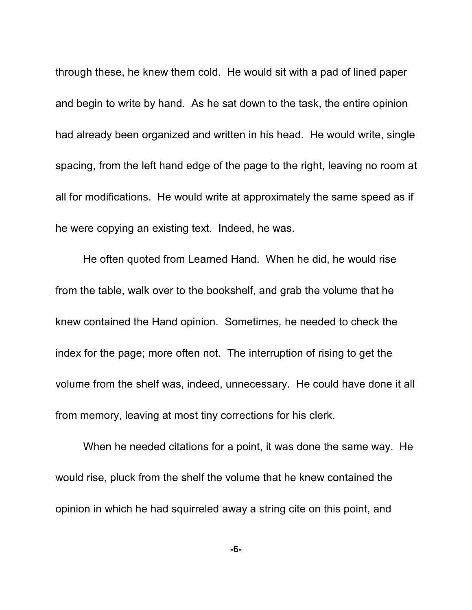through these, he knew them cold. He would sit with a pad of lined paper and begin to write by hand. As he sat down to the task, the entire opinion had already been organized and written in his head. He would write, single spacing, from the left hand edge of the page to the right, leaving no room at all for modifications. He would write at approximately the same speed as if he were copying an existing text. Indeed, he was.

He often quoted from Learned Hand. When he did, he would rise from the table, walk over to the bookshelf, and grab the volume that he knew contained the Hand opinion.Sometimes*,* he needed to check the index for the page; more often not. The interruption of rising to get the volume from the shelf was, indeed, unnecessary. He could have done it all from memory, leaving at most tiny corrections for his clerk.

When he needed citations for a point, it was done the same way. He would rise, pluck from the shelf the volume that he knew contained the opinion in which he had squirreled away a string cite on this point, and

**-6-**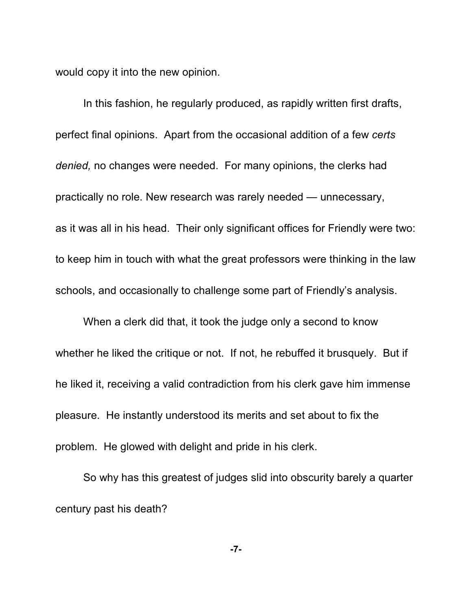would copy it into the new opinion.

In this fashion, he regularly produced, as rapidly written first drafts, perfect final opinions. Apart from the occasional addition of a few *certs denied,* no changes were needed. For many opinions, the clerks had practically no role. New research was rarely needed — unnecessary, as it was all in his head. Their only significant offices for Friendly were two: to keep him in touch with what the great professors were thinking in the law schools, and occasionally to challenge some part of Friendly's analysis.

When a clerk did that, it took the judge only a second to know whether he liked the critique or not. If not, he rebuffed it brusquely. But if he liked it, receiving a valid contradiction from his clerk gave him immense pleasure. He instantly understood its merits and set about to fix the problem. He glowed with delight and pride in his clerk.

So why has this greatest of judges slid into obscurity barely a quarter century past his death?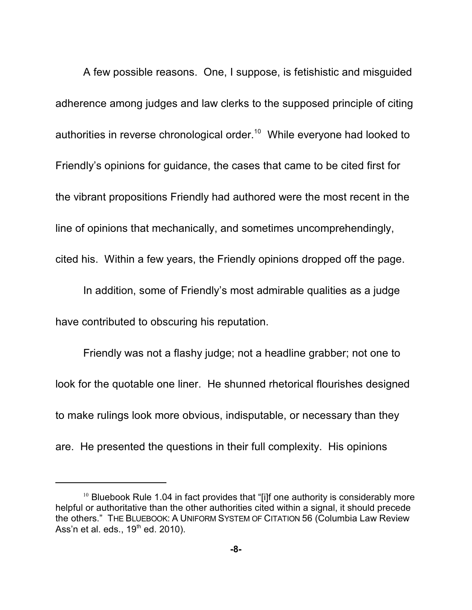A few possible reasons. One, I suppose, is fetishistic and misguided adherence among judges and law clerks to the supposed principle of citing authorities in reverse chronological order.<sup>10</sup> While everyone had looked to Friendly's opinions for guidance, the cases that came to be cited first for the vibrant propositions Friendly had authored were the most recent in the line of opinions that mechanically, and sometimes uncomprehendingly, cited his. Within a few years, the Friendly opinions dropped off the page.

In addition, some of Friendly's most admirable qualities as a judge have contributed to obscuring his reputation.

Friendly was not a flashy judge; not a headline grabber; not one to look for the quotable one liner. He shunned rhetorical flourishes designed to make rulings look more obvious, indisputable, or necessary than they are. He presented the questions in their full complexity. His opinions

 $10$  Bluebook Rule 1.04 in fact provides that "[i]f one authority is considerably more helpful or authoritative than the other authorities cited within a signal, it should precede the others." THE BLUEBOOK: A UNIFORM SYSTEM OF CITATION 56 (Columbia Law Review Ass'n et al. eds.,  $19<sup>th</sup>$  ed. 2010).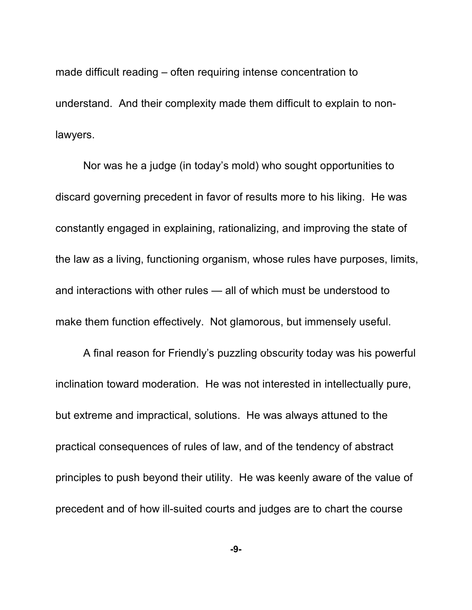made difficult reading – often requiring intense concentration to understand. And their complexity made them difficult to explain to nonlawyers.

Nor was he a judge (in today's mold) who sought opportunities to discard governing precedent in favor of results more to his liking. He was constantly engaged in explaining, rationalizing, and improving the state of the law as a living, functioning organism, whose rules have purposes, limits, and interactions with other rules — all of which must be understood to make them function effectively. Not glamorous, but immensely useful.

A final reason for Friendly's puzzling obscurity today was his powerful inclination toward moderation. He was not interested in intellectually pure, but extreme and impractical, solutions. He was always attuned to the practical consequences of rules of law, and of the tendency of abstract principles to push beyond their utility. He was keenly aware of the value of precedent and of how ill-suited courts and judges are to chart the course

**-9-**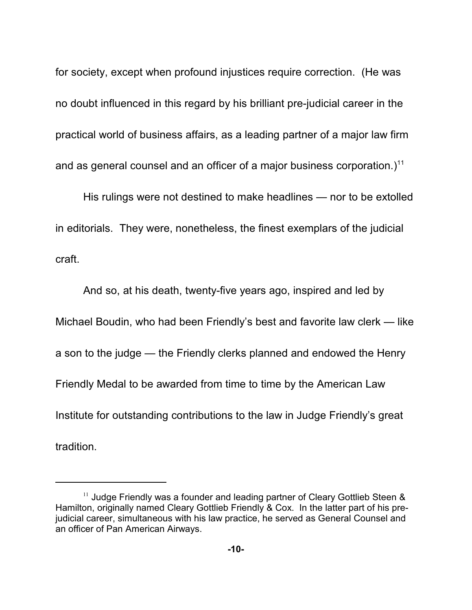for society, except when profound injustices require correction. (He was no doubt influenced in this regard by his brilliant pre-judicial career in the practical world of business affairs, as a leading partner of a major law firm and as general counsel and an officer of a major business corporation.)<sup>11</sup>

His rulings were not destined to make headlines — nor to be extolled in editorials. They were, nonetheless, the finest exemplars of the judicial craft.

And so, at his death, twenty-five years ago, inspired and led by Michael Boudin, who had been Friendly's best and favorite law clerk — like a son to the judge — the Friendly clerks planned and endowed the Henry Friendly Medal to be awarded from time to time by the American Law Institute for outstanding contributions to the law in Judge Friendly's great tradition.

 $11$  Judge Friendly was a founder and leading partner of Cleary Gottlieb Steen & Hamilton, originally named Cleary Gottlieb Friendly & Cox. In the latter part of his prejudicial career, simultaneous with his law practice, he served as General Counsel and an officer of Pan American Airways.